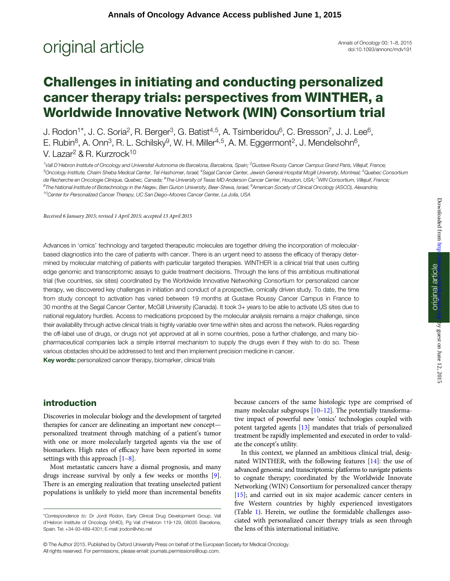## **original article** Annals of Oncology 00: 1–8, 2015

doi:10.1093/annonc/mdv191

### Challenges in initiating and conducting personalized cancer therapy trials: perspectives from WINTHER, a Worldwide Innovative Network (WIN) Consortium trial

J. Rodon<sup>1\*</sup>, J. C. Soria<sup>2</sup>, R. Berger<sup>3</sup>, G. Batist<sup>4,5</sup>, A. Tsimberidou<sup>6</sup>, C. Bresson<sup>7</sup>, J. J. Lee<sup>6</sup>, E. Rubin<sup>8</sup>, A. Onn<sup>3</sup>, R. L. Schilsky<sup>9</sup>, W. H. Miller<sup>4,5</sup>, A. M. Eggermont<sup>2</sup>, J. Mendelsohn<sup>6</sup>, V. Lazar<sup>2</sup> & R. Kurzrock<sup>10</sup>

<sup>1</sup>Vall D'Hebron Institute of Oncology and Universitat Autonoma de Barcelona, Barcelona, Spain; <sup>2</sup>Gustave Roussy Cancer Campus Grand Paris, Villejuif, France, <sup>3</sup>Oncology Institute, Chaim Sheba Medical Center, Tel-Hashomer, Israel; <sup>4</sup>Segal Cancer Center, Jewish General Hospital Mcgill University, Montreal; <sup>5</sup>Quebec Consortium de Recherche en Oncologie Clinique, Quebec, Canada; <sup>6</sup>The University of Texas MD Anderson Cancer Center, Houston, USA; <sup>7</sup>WIN Consortium, Villejuif, France; <sup>8</sup>The National Institute of Biotechnology in the Negev, Ben Gurion University, Beer-Sheva, Israel; <sup>9</sup>American Society of Clinical Oncology (ASCO), Alexandria; <sup>10</sup>Center for Personalized Cancer Therapy, UC San Diego-Moores Cancer Center, La Jolla, USA

Received 6 January 2015; revised 1 April 2015; accepted 13 April 2015

Advances in 'omics' technology and targeted therapeutic molecules are together driving the incorporation of molecularbased diagnostics into the care of patients with cancer. There is an urgent need to assess the efficacy of therapy determined by molecular matching of patients with particular targeted therapies. WINTHER is a clinical trial that uses cutting edge genomic and transcriptomic assays to guide treatment decisions. Through the lens of this ambitious multinational trial (five countries, six sites) coordinated by the Worldwide Innovative Networking Consortium for personalized cancer therapy, we discovered key challenges in initiation and conduct of a prospective, omically driven study. To date, the time from study concept to activation has varied between 19 months at Gustave Roussy Cancer Campus in France to 30 months at the Segal Cancer Center, McGill University (Canada). It took 3+ years to be able to activate US sites due to national regulatory hurdles. Access to medications proposed by the molecular analysis remains a major challenge, since their availability through active clinical trials is highly variable over time within sites and across the network. Rules regarding the off-label use of drugs, or drugs not yet approved at all in some countries, pose a further challenge, and many biopharmaceutical companies lack a simple internal mechanism to supply the drugs even if they wish to do so. These various obstacles should be addressed to test and then implement precision medicine in cancer.

Key words: personalized cancer therapy, biomarker, clinical trials

#### introduction

Discoveries in molecular biology and the development of targeted therapies for cancer are delineating an important new concept personalized treatment through matching of a patient's tumor with one or more molecularly targeted agents via the use of biomarkers. High rates of efficacy have been reported in some settings with this approach  $[1-8]$  $[1-8]$  $[1-8]$  $[1-8]$ .

Most metastatic cancers have a dismal prognosis, and many drugs increase survival by only a few weeks or months [\[9\]](#page-6-0). There is an emerging realization that treating unselected patient populations is unlikely to yield more than incremental benefits because cancers of the same histologic type are comprised of many molecular subgroups [[10](#page-6-0)–[12](#page-6-0)]. The potentially transformative impact of powerful new 'omics' technologies coupled with potent targeted agents [[13\]](#page-6-0) mandates that trials of personalized treatment be rapidly implemented and executed in order to validate the concept's utility.

In this context, we planned an ambitious clinical trial, designated WINTHER, with the following features [[14](#page-6-0)]: the use of advanced genomic and transcriptomic platforms to navigate patients to cognate therapy; coordinated by the Worldwide Innovate Networking (WIN) Consortium for personalized cancer therapy [\[15](#page-6-0)]; and carried out in six major academic cancer centers in five Western countries by highly experienced investigators (Table [1\)](#page-1-0). Herein, we outline the formidable challenges associated with personalized cancer therapy trials as seen through the lens of this international initiative.

<sup>\*</sup>Correspondence to: Dr Jordi Rodon, Early Clinical Drug Development Group, Vall d'Hebron Institute of Oncology (VHIO), Pg Vall d'Hebron 119-129, 08035 Barcelona, Spain. Tel: +34-93-489-4301; E-mail: jrodon@vhio.net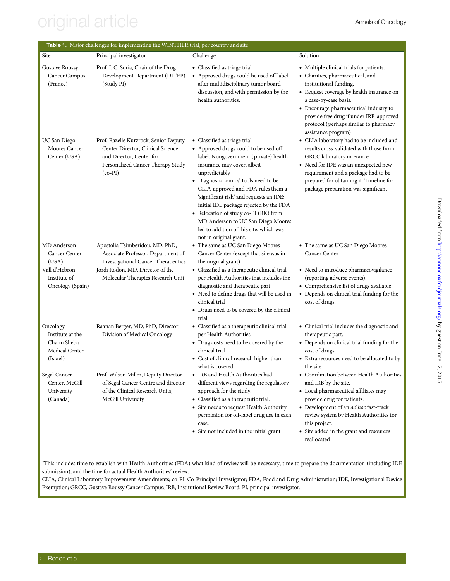# <span id="page-1-0"></span>original article **Annals of Oncology**

| Table 1. Major challenges for implementing the WINTHER trial, per country and site         |                                                                                                                                                                                              |                                                                                                                                                                                                                                                                                                                                                                                                                                                                                         |                                                                                                                                                                                                                                                                                                                                   |
|--------------------------------------------------------------------------------------------|----------------------------------------------------------------------------------------------------------------------------------------------------------------------------------------------|-----------------------------------------------------------------------------------------------------------------------------------------------------------------------------------------------------------------------------------------------------------------------------------------------------------------------------------------------------------------------------------------------------------------------------------------------------------------------------------------|-----------------------------------------------------------------------------------------------------------------------------------------------------------------------------------------------------------------------------------------------------------------------------------------------------------------------------------|
| Site                                                                                       | Principal investigator                                                                                                                                                                       | Challenge                                                                                                                                                                                                                                                                                                                                                                                                                                                                               | Solution                                                                                                                                                                                                                                                                                                                          |
| Gustave Roussy<br>Cancer Campus<br>(France)                                                | Prof. J. C. Soria, Chair of the Drug<br>Development Department (DITEP)<br>(Study PI)                                                                                                         | • Classified as triage trial.<br>• Approved drugs could be used off label<br>after multidisciplinary tumor board<br>discussion, and with permission by the<br>health authorities.                                                                                                                                                                                                                                                                                                       | • Multiple clinical trials for patients.<br>• Charities, pharmaceutical, and<br>institutional funding.<br>• Request coverage by health insurance on<br>a case-by-case basis.<br>• Encourage pharmaceutical industry to<br>provide free drug if under IRB-approved<br>protocol (perhaps similar to pharmacy<br>assistance program) |
| UC San Diego<br>Moores Cancer<br>Center (USA)                                              | Prof. Razelle Kurzrock, Senior Deputy<br>Center Director, Clinical Science<br>and Director, Center for<br>Personalized Cancer Therapy Study<br>$(co-PI)$                                     | • Classified as triage trial<br>• Approved drugs could to be used off<br>label. Nongovernment (private) health<br>insurance may cover, albeit<br>unpredictably<br>• Diagnostic 'omics' tools need to be<br>CLIA-approved and FDA rules them a<br>'significant risk' and requests an IDE;<br>initial IDE package rejected by the FDA<br>• Relocation of study co-PI (RK) from<br>MD Anderson to UC San Diego Moores<br>led to addition of this site, which was<br>not in original grant. | • CLIA laboratory had to be included and<br>results cross-validated with those from<br>GRCC laboratory in France.<br>• Need for IDE was an unexpected new<br>requirement and a package had to be<br>prepared for obtaining it. Timeline for<br>package preparation was significant                                                |
| MD Anderson<br>Cancer Center<br>(USA)<br>Vall d'Hebron<br>Institute of<br>Oncology (Spain) | Apostolia Tsimberidou, MD, PhD,<br>Associate Professor, Department of<br><b>Investigational Cancer Therapeutics</b><br>Jordi Rodon, MD, Director of the<br>Molecular Therapies Research Unit | • The same as UC San Diego Moores<br>Cancer Center (except that site was in<br>the original grant)<br>• Classified as a therapeutic clinical trial<br>per Health Authorities that includes the<br>diagnostic and therapeutic part<br>• Need to define drugs that will be used in<br>clinical trial<br>• Drugs need to be covered by the clinical<br>trial                                                                                                                               | • The same as UC San Diego Moores<br>Cancer Center<br>• Need to introduce pharmacovigilance<br>(reporting adverse events).<br>• Comprehensive list of drugs available<br>• Depends on clinical trial funding for the<br>cost of drugs.                                                                                            |
| Oncology<br>Institute at the<br>Chaim Sheba<br>Medical Center<br>(Israel)                  | Raanan Berger, MD, PhD, Director,<br>Division of Medical Oncology                                                                                                                            | • Classified as a therapeutic clinical trial<br>per Health Authorities<br>• Drug costs need to be covered by the<br>clinical trial<br>• Cost of clinical research higher than<br>what is covered                                                                                                                                                                                                                                                                                        | • Clinical trial includes the diagnostic and<br>therapeutic part.<br>• Depends on clinical trial funding for the<br>cost of drugs.<br>• Extra resources need to be allocated to by<br>the site                                                                                                                                    |
| Segal Cancer<br>Center, McGill<br>University<br>(Canada)                                   | Prof. Wilson Miller, Deputy Director<br>of Segal Cancer Centre and director<br>of the Clinical Research Units,<br>McGill University                                                          | • IRB and Health Authorities had<br>different views regarding the regulatory<br>approach for the study.<br>• Classified as a therapeutic trial.<br>• Site needs to request Health Authority<br>permission for off-label drug use in each<br>case.<br>• Site not included in the initial grant                                                                                                                                                                                           | • Coordination between Health Authorities<br>and IRB by the site.<br>• Local pharmaceutical affiliates may<br>provide drug for patients.<br>• Development of an ad hoc fast-track<br>review system by Health Authorities for<br>this project.<br>• Site added in the grant and resources<br>reallocated                           |

<sup>a</sup>This includes time to establish with Health Authorities (FDA) what kind of review will be necessary, time to prepare the documentation (including IDE submission), and the time for actual Health Authorities' review.

CLIA, Clinical Laboratory Improvement Amendments; co-PI, Co-Principal Investigator; FDA, Food and Drug Administration; IDE, Investigational Device Exemption; GRCC, Gustave Roussy Cancer Campus; IRB, Institutional Review Board; PI, principal investigator.

Downloaded from http://annonc.oxfordjournals.org/ by guest on June 12, 2015 Downloaded from <http://annonc.oxfordjournals.org/> by guest on June  $12, 2015$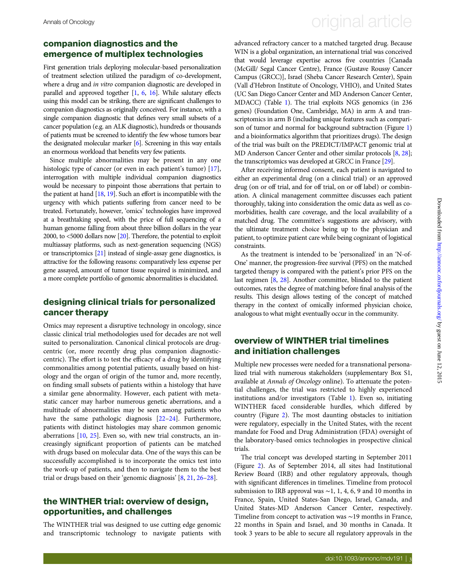## Annals of Oncology **Annals of Oncology** original article

### companion diagnostics and the emergence of multiplex technologies

First generation trials deploying molecular-based personalization of treatment selection utilized the paradigm of co-development, where a drug and in vitro companion diagnostic are developed in parallel and approved together [\[1,](#page-6-0) [6](#page-6-0), [16\]](#page-6-0). While salutary effects using this model can be striking, there are significant challenges to companion diagnostics as originally conceived. For instance, with a single companion diagnostic that defines very small subsets of a cancer population (e.g. an ALK diagnostic), hundreds or thousands of patients must be screened to identify the few whose tumors bear the designated molecular marker  $[6]$  $[6]$ . Screening in this way entails an enormous workload that benefits very few patients.

Since multiple abnormalities may be present in any one histologic type of cancer (or even in each patient's tumor) [[17\]](#page-6-0), interrogation with multiple individual companion diagnostics would be necessary to pinpoint those aberrations that pertain to the patient at hand [\[18](#page-6-0), [19](#page-6-0)]. Such an effort is incompatible with the urgency with which patients suffering from cancer need to be treated. Fortunately, however, 'omics' technologies have improved at a breathtaking speed, with the price of full sequencing of a human genome falling from about three billion dollars in the year 2000, to <5000 dollars now [\[20\]](#page-6-0). Therefore, the potential to exploit multiassay platforms, such as next-generation sequencing (NGS) or transcriptomics [\[21\]](#page-6-0) instead of single-assay gene diagnostics, is attractive for the following reasons: comparatively less expense per gene assayed, amount of tumor tissue required is minimized, and a more complete portfolio of genomic abnormalities is elucidated.

### designing clinical trials for personalized cancer therapy

Omics may represent a disruptive technology in oncology, since classic clinical trial methodologies used for decades are not well suited to personalization. Canonical clinical protocols are drugcentric (or, more recently drug plus companion diagnosticcentric). The effort is to test the efficacy of a drug by identifying commonalities among potential patients, usually based on histology and the organ of origin of the tumor and, more recently, on finding small subsets of patients within a histology that have a similar gene abnormality. However, each patient with metastatic cancer may harbor numerous genetic aberrations, and a multitude of abnormalities may be seen among patients who have the same pathologic diagnosis [\[22](#page-6-0)–[24](#page-6-0)]. Furthermore, patients with distinct histologies may share common genomic aberrations [[10](#page-6-0), [25\]](#page-6-0). Even so, with new trial constructs, an increasingly significant proportion of patients can be matched with drugs based on molecular data. One of the ways this can be successfully accomplished is to incorporate the omics test into the work-up of patients, and then to navigate them to the best trial or drugs based on their 'genomic diagnosis' [\[8](#page-6-0), [21](#page-6-0), [26](#page-6-0)–[28\]](#page-6-0).

### the WINTHER trial: overview of design, opportunities, and challenges

The WINTHER trial was designed to use cutting edge genomic and transcriptomic technology to navigate patients with advanced refractory cancer to a matched targeted drug. Because WIN is a global organization, an international trial was conceived that would leverage expertise across five countries [Canada (McGill/ Segal Cancer Centre), France (Gustave Roussy Cancer Campus (GRCC)], Israel (Sheba Cancer Research Center), Spain (Vall d'Hebron Institute of Oncology, VHIO), and United States (UC San Diego Cancer Center and MD Anderson Cancer Center, MDACC) (Table [1\)](#page-1-0). The trial exploits NGS genomics (in 236 genes) (Foundation One, Cambridge, MA) in arm A and transcriptomics in arm B (including unique features such as comparison of tumor and normal for background subtraction (Figure [1\)](#page-3-0) and a bioinformatics algorithm that prioritizes drugs). The design of the trial was built on the PREDICT/IMPACT genomic trial at MD Anderson Cancer Center and other similar protocols [\[8](#page-6-0), [28\]](#page-6-0); the transcriptomics was developed at GRCC in France [\[29](#page-6-0)].

After receiving informed consent, each patient is navigated to either an experimental drug (on a clinical trial) or an approved drug (on or off trial, and for off trial, on or off label) or combination. A clinical management committee discusses each patient thoroughly, taking into consideration the omic data as well as comorbidities, health care coverage, and the local availability of a matched drug. The committee's suggestions are advisory, with the ultimate treatment choice being up to the physician and patient, to optimize patient care while being cognizant of logistical constraints.

As the treatment is intended to be 'personalized' in an 'N-of-One' manner, the progression-free survival (PFS) on the matched targeted therapy is compared with the patient's prior PFS on the last regimen [[8,](#page-6-0) [28](#page-6-0)]. Another committee, blinded to the patient outcomes, rates the degree of matching before final analysis of the results. This design allows testing of the concept of matched therapy in the context of omically informed physician choice, analogous to what might eventually occur in the community.

### overview of WINTHER trial timelines and initiation challenges

Multiple new processes were needed for a transnational personalized trial with numerous stakeholders ([supplementary Box S1,](http://annonc.oxfordjournals.org/lookup/suppl/doi:10.1093/annonc/mdv191/-/DC1) available at [Annals of Oncology](http://annonc.oxfordjournals.org/lookup/suppl/doi:10.1093/annonc/mdv191/-/DC1) online). To attenuate the potential challenges, the trial was restricted to highly experienced institutions and/or investigators (Table [1\)](#page-1-0). Even so, initiating WINTHER faced considerable hurdles, which differed by country (Figure [2](#page-4-0)). The most daunting obstacles to initiation were regulatory, especially in the United States, with the recent mandate for Food and Drug Administration (FDA) oversight of the laboratory-based omics technologies in prospective clinical trials.

The trial concept was developed starting in September 2011 (Figure [2](#page-4-0)). As of September 2014, all sites had Institutional Review Board (IRB) and other regulatory approvals, though with significant differences in timelines. Timeline from protocol submission to IRB approval was ∼1, 1, 4, 6, 9 and 10 months in France, Spain, United States-San Diego, Israel, Canada, and United States-MD Anderson Cancer Center, respectively. Timeline from concept to activation was ∼19 months in France, 22 months in Spain and Israel, and 30 months in Canada. It took 3 years to be able to secure all regulatory approvals in the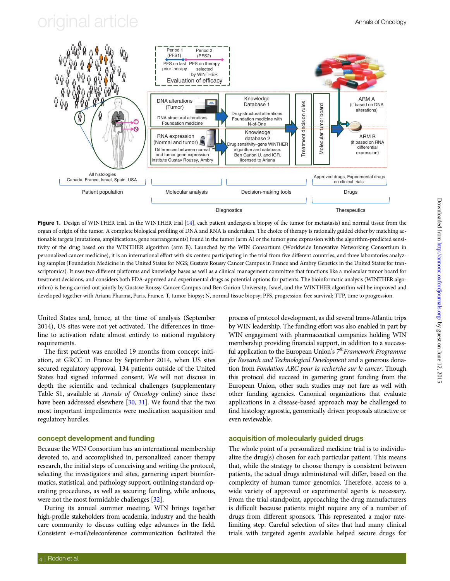# <span id="page-3-0"></span>original article  $\overline{\phantom{a}}$  annual article



Figure 1. Design of WINTHER trial. In the WINTHER trial [\[14\]](#page-6-0), each patient undergoes a biopsy of the tumor (or metastasis) and normal tissue from the organ of origin of the tumor. A complete biological profiling of DNA and RNA is undertaken. The choice of therapy is rationally guided either by matching actionable targets (mutations, amplifications, gene rearrangements) found in the tumor (arm A) or the tumor gene expression with the algorithm-predicted sensitivity of the drug based on the WINTHER algorithm (arm B). Launched by the WIN Consortium (Worldwide Innovative Networking Consortium in personalized cancer medicine), it is an international effort with six centers participating in the trial from five different countries, and three laboratories analyzing samples (Foundation Medicine in the United States for NGS; Gustave Roussy Cancer Campus in France and Ambry Genetics in the United States for transcriptomics). It uses two different platforms and knowledge bases as well as a clinical management committee that functions like a molecular tumor board for treatment decisions, and considers both FDA-approved and experimental drugs as potential options for patients. The bioinformatic analysis (WINTHER algorithm) is being carried out jointly by Gustave Roussy Cancer Campus and Ben Gurion University, Israel, and the WINTHER algorithm will be improved and developed together with Ariana Pharma, Paris, France. T, tumor biopsy; N, normal tissue biopsy; PFS, progression-free survival; TTP, time to progression.

United States and, hence, at the time of analysis (September 2014), US sites were not yet activated. The differences in timeline to activation relate almost entirely to national regulatory requirements.

The first patient was enrolled 19 months from concept initiation, at GRCC in France by September 2014, when US sites secured regulatory approval, 134 patients outside of the United States had signed informed consent. We will not discuss in depth the scientific and technical challenges ([supplementary](http://annonc.oxfordjournals.org/lookup/suppl/doi:10.1093/annonc/mdv191/-/DC1) [Table S1, available at](http://annonc.oxfordjournals.org/lookup/suppl/doi:10.1093/annonc/mdv191/-/DC1) Annals of Oncology online) since these have been addressed elsewhere [\[30,](#page-6-0) [31\]](#page-6-0). We found that the two most important impediments were medication acquisition and regulatory hurdles.

#### concept development and funding

Because the WIN Consortium has an international membership devoted to, and accomplished in, personalized cancer therapy research, the initial steps of conceiving and writing the protocol, selecting the investigators and sites, garnering expert bioinformatics, statistical, and pathology support, outlining standard operating procedures, as well as securing funding, while arduous, were not the most formidable challenges [[32\]](#page-6-0).

During its annual summer meeting, WIN brings together high-profile stakeholders from academia, industry and the health care community to discuss cutting edge advances in the field. Consistent e-mail/teleconference communication facilitated the

process of protocol development, as did several trans-Atlantic trips by WIN leadership. The funding effort was also enabled in part by WIN engagement with pharmaceutical companies holding WIN membership providing financial support, in addition to a successful application to the European Union's  $7<sup>th</sup> Framework Programme$ for Research and Technological Development and a generous donation from Fondation ARC pour la recherche sur le cancer. Though this protocol did succeed in garnering grant funding from the European Union, other such studies may not fare as well with other funding agencies. Canonical organizations that evaluate applications in a disease-based approach may be challenged to find histology agnostic, genomically driven proposals attractive or even reviewable.

#### acquisition of molecularly guided drugs

The whole point of a personalized medicine trial is to individualize the drug(s) chosen for each particular patient. This means that, while the strategy to choose therapy is consistent between patients, the actual drugs administered will differ, based on the complexity of human tumor genomics. Therefore, access to a wide variety of approved or experimental agents is necessary. From the trial standpoint, approaching the drug manufacturers is difficult because patients might require any of a number of drugs from different sponsors. This represented a major ratelimiting step. Careful selection of sites that had many clinical trials with targeted agents available helped secure drugs for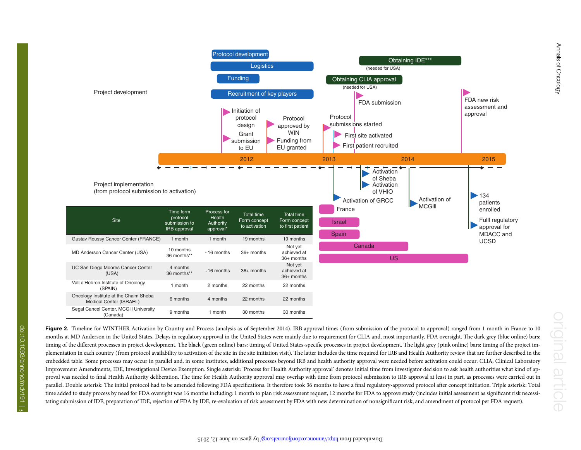original article

original article

Figure 2. Timeline for WINTHER Activation by Country and Process (analysis as of September 2014). IRB approval times (from submission of the protocol to approval) ranged from 1 month in France to 10 months at MD Anderson in the United States. Delays in regulatory approval in the United States were mainly due to requirement for CLIA and, most importantly, FDA oversight. The dark grey (blue online) bars: timing of the different processes in project development. The black (green online) bars: timing of United States-specifi<sup>c</sup> processes in project development. The light grey (pink online) bars: timing of the project implementation in each country (from protocol availability to activation of the site in the site initiation visit). The latter includes the time required for IRB and Health Authority review that are further described in the embedded table. Some processes may occur in parallel and, in some institutes, additional processes beyond IRB and health authority approval were needed before activation could occur. CLIA, Clinical Laboratory Improvement Amendments; IDE, Investigational Device Exemption. Single asterisk: 'Process for Health Authority approval' denotes initial time from investigator decision to ask health authorities what kind of approval was needed to final Health Authority deliberation. The time for Health Authority approval may overlap with time from protocol submission to IRB approval at least in part, as processes were carried out in parallel. Double asterisk: The initial protocol had to be amended following FDA specifications. It therefore took <sup>36</sup> months to have <sup>a</sup> final regulatory-approved protocol after concep<sup>t</sup> initiation. Triple asterisk: Total time added to study process by need for FDA oversight was 16 months including: 1 month to plan risk assessment request, 12 months for FDA to approve study (includes initial assessment as significant risk necessitating submission of IDE, preparation of IDE, rejection of FDA by IDE, re-evaluation of risk assessment by FDA with new determination of nonsignificant risk, and amendment of protocol per FDA request).

22 months30 months

22 months30 months

2 months

6 months9 months

<span id="page-4-0"></span>(SPAIN) Oncology Institute at the Chaim Sheba Medical Center (ISRAEL) Segal Cancel Center, MCGill University (Canada)

1 month4 months

by guest on  $p_{\text{H}}$  and  $p_{\text{H}}$  and  $p_{\text{H}}$  are  $p_{\text{H}}$  and  $p_{\text{H}}$  and  $p_{\text{H}}$  are  $p_{\text{H}}$  and  $p_{\text{H}}$  and  $p_{\text{H}}$  and  $p_{\text{H}}$  and  $p_{\text{H}}$  and  $p_{\text{H}}$  and  $p_{\text{H}}$  and  $p_{\text{H}}$  and  $p_{\text{H}}$  and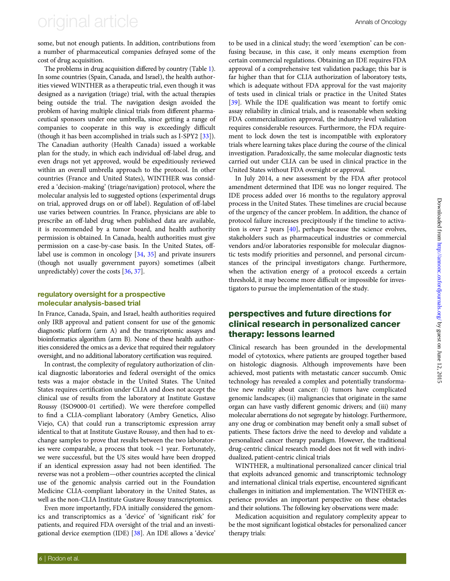some, but not enough patients. In addition, contributions from a number of pharmaceutical companies defrayed some of the cost of drug acquisition.

The problems in drug acquisition differed by country (Table [1](#page-1-0)). In some countries (Spain, Canada, and Israel), the health authorities viewed WINTHER as a therapeutic trial, even though it was designed as a navigation (triage) trial, with the actual therapies being outside the trial. The navigation design avoided the problem of having multiple clinical trials from different pharmaceutical sponsors under one umbrella, since getting a range of companies to cooperate in this way is exceedingly difficult (though it has been accomplished in trials such as I-SPY2 [[33\]](#page-6-0)). The Canadian authority (Health Canada) issued a workable plan for the study, in which each individual off-label drug, and even drugs not yet approved, would be expeditiously reviewed within an overall umbrella approach to the protocol. In other countries (France and United States), WINTHER was considered a 'decision-making' (triage/navigation) protocol, where the molecular analysis led to suggested options (experimental drugs on trial, approved drugs on or off label). Regulation of off-label use varies between countries. In France, physicians are able to prescribe an off-label drug when published data are available, it is recommended by a tumor board, and health authority permission is obtained. In Canada, health authorities must give permission on a case-by-case basis. In the United States, offlabel use is common in oncology [\[34](#page-6-0), [35\]](#page-7-0) and private insurers (though not usually government payors) sometimes (albeit unpredictably) cover the costs [\[36](#page-7-0), [37\]](#page-7-0).

#### regulatory oversight for a prospective molecular analysis-based trial

In France, Canada, Spain, and Israel, health authorities required only IRB approval and patient consent for use of the genomic diagnostic platform (arm A) and the transcriptomic assays and bioinformatics algorithm (arm B). None of these health authorities considered the omics as a device that required their regulatory oversight, and no additional laboratory certification was required.

In contrast, the complexity of regulatory authorization of clinical diagnostic laboratories and federal oversight of the omics tests was a major obstacle in the United States. The United States requires certification under CLIA and does not accept the clinical use of results from the laboratory at Institute Gustave Roussy (ISO9000-01 certified). We were therefore compelled to find a CLIA-compliant laboratory (Ambry Genetics, Aliso Viejo, CA) that could run a transcriptomic expression array identical to that at Institute Gustave Roussy, and then had to exchange samples to prove that results between the two laboratories were comparable, a process that took ∼1 year. Fortunately, we were successful, but the US sites would have been dropped if an identical expression assay had not been identified. The reverse was not a problem—other countries accepted the clinical use of the genomic analysis carried out in the Foundation Medicine CLIA-compliant laboratory in the United States, as well as the non-CLIA Institute Gustave Roussy transcriptomics.

Even more importantly, FDA initially considered the genomics and transcriptomics as a 'device' of 'significant risk' for patients, and required FDA oversight of the trial and an investigational device exemption (IDE) [[38](#page-7-0)]. An IDE allows a 'device' to be used in a clinical study; the word 'exemption' can be confusing because, in this case, it only means exemption from certain commercial regulations. Obtaining an IDE requires FDA approval of a comprehensive test validation package; this bar is far higher than that for CLIA authorization of laboratory tests, which is adequate without FDA approval for the vast majority of tests used in clinical trials or practice in the United States [[39\]](#page-7-0). While the IDE qualification was meant to fortify omic assay reliability in clinical trials, and is reasonable when seeking FDA commercialization approval, the industry-level validation requires considerable resources. Furthermore, the FDA requirement to lock down the test is incompatible with exploratory trials where learning takes place during the course of the clinical investigation. Paradoxically, the same molecular diagnostic tests carried out under CLIA can be used in clinical practice in the United States without FDA oversight or approval.

In July 2014, a new assessment by the FDA after protocol amendment determined that IDE was no longer required. The IDE process added over 16 months to the regulatory approval process in the United States. These timelines are crucial because of the urgency of the cancer problem. In addition, the chance of protocol failure increases precipitously if the timeline to activation is over 2 years [[40\]](#page-7-0), perhaps because the science evolves, stakeholders such as pharmaceutical industries or commercial vendors and/or laboratories responsible for molecular diagnostic tests modify priorities and personnel, and personal circumstances of the principal investigators change. Furthermore, when the activation energy of a protocol exceeds a certain threshold, it may become more difficult or impossible for investigators to pursue the implementation of the study.

### perspectives and future directions for clinical research in personalized cancer therapy: lessons learned

Clinical research has been grounded in the developmental model of cytotoxics, where patients are grouped together based on histologic diagnosis. Although improvements have been achieved, most patients with metastatic cancer succumb. Omic technology has revealed a complex and potentially transformative new reality about cancer: (i) tumors have complicated genomic landscapes; (ii) malignancies that originate in the same organ can have vastly different genomic drivers; and (iii) many molecular aberrations do not segregate by histology. Furthermore, any one drug or combination may benefit only a small subset of patients. These factors drive the need to develop and validate a personalized cancer therapy paradigm. However, the traditional drug-centric clinical research model does not fit well with individualized, patient-centric clinical trials

WINTHER, a multinational personalized cancer clinical trial that exploits advanced genomic and transcriptomic technology and international clinical trials expertise, encountered significant challenges in initiation and implementation. The WINTHER experience provides an important perspective on these obstacles and their solutions. The following key observations were made:

Medication acquisition and regulatory complexity appear to be the most significant logistical obstacles for personalized cancer therapy trials: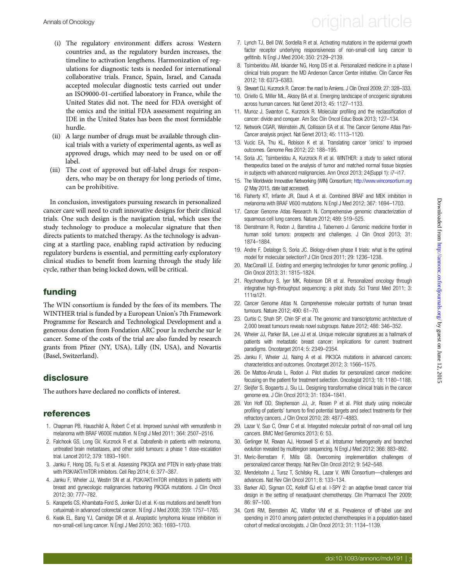- <span id="page-6-0"></span>(i) The regulatory environment differs across Western countries and, as the regulatory burden increases, the timeline to activation lengthens. Harmonization of regulations for diagnostic tests is needed for international collaborative trials. France, Spain, Israel, and Canada accepted molecular diagnostic tests carried out under an ISO9000-01-certified laboratory in France, while the United States did not. The need for FDA oversight of the omics and the initial FDA assessment requiring an IDE in the United States has been the most formidable hurdle.
- (ii) A large number of drugs must be available through clinical trials with a variety of experimental agents, as well as approved drugs, which may need to be used on or off label.
- (iii) The cost of approved but off-label drugs for responders, who may be on therapy for long periods of time, can be prohibitive.

In conclusion, investigators pursuing research in personalized cancer care will need to craft innovative designs for their clinical trials. One such design is the navigation trial, which uses the study technology to produce a molecular signature that then directs patients to matched therapy. As the technology is advancing at a startling pace, enabling rapid activation by reducing regulatory burdens is essential, and permitting early exploratory clinical studies to benefit from learning through the study life cycle, rather than being locked down, will be critical.

### funding

The WIN consortium is funded by the fees of its members. The WINTHER trial is funded by a European Union's 7th Framework Programme for Research and Technological Development and a generous donation from Fondation ARC pour la recherche sur le cancer. Some of the costs of the trial are also funded by research grants from Pfizer (NY, USA), Lilly (IN, USA), and Novartis (Basel, Switzerland).

### disclosure

The authors have declared no conflicts of interest.

### references

- 1. Chapman PB, Hauschild A, Robert C et al. Improved survival with vemurafenib in melanoma with BRAF V600E mutation. N Engl J Med 2011; 364: 2507–2516.
- 2. Falchook GS, Long GV, Kurzrock R et al. Dabrafenib in patients with melanoma, untreated brain metastases, and other solid tumours: a phase 1 dose-escalation trial. Lancet 2012; 379: 1893–1901.
- 3. Janku F, Hong DS, Fu S et al. Assessing PIK3CA and PTEN in early-phase trials with PI3K/AKT/mTOR inhibitors. Cell Rep 2014; 6: 377–387.
- 4. Janku F, Wheler JJ, Westin SN et al. PI3K/AKT/mTOR inhibitors in patients with breast and gynecologic malignancies harboring PIK3CA mutations. J Clin Oncol 2012; 30: 777–782.
- 5. Karapetis CS, Khambata-Ford S, Jonker DJ et al. K-ras mutations and benefit from cetuximab in advanced colorectal cancer. N Engl J Med 2008; 359: 1757–1765.
- 6. Kwak EL, Bang YJ, Camidge DR et al. Anaplastic lymphoma kinase inhibition in non-small-cell lung cancer. N Engl J Med 2010; 363: 1693–1703.
- 7. Lynch TJ, Bell DW, Sordella R et al. Activating mutations in the epidermal growth factor receptor underlying responsiveness of non-small-cell lung cancer to gefitinib. N Engl J Med 2004; 350: 2129–2139.
- 8. Tsimberidou AM, Iskander NG, Hong DS et al. Personalized medicine in a phase I clinical trials program: the MD Anderson Cancer Center initiative. Clin Cancer Res 2012; 18: 6373–6383.
- 9. Stewart DJ, Kurzrock R. Cancer: the road to Amiens. J Clin Oncol 2009; 27: 328–333.
- 10. Ciriello G, Miller ML, Aksoy BA et al. Emerging landscape of oncogenic signatures across human cancers. Nat Genet 2013; 45: 1127–1133.
- 11. Munoz J, Swanton C, Kurzrock R. Molecular profiling and the reclassification of cancer: divide and conquer. Am Soc Clin Oncol Educ Book 2013; 127–134.
- 12. Network CGAR, Weinstein JN, Collisson EA et al. The Cancer Genome Atlas Pan-Cancer analysis project. Nat Genet 2013; 45: 1113–1120.
- 13. Vucic EA, Thu KL, Robison K et al. Translating cancer 'omics' to improved outcomes. Genome Res 2012; 22: 188–195.
- 14. Soria JC, Tsimberidou A, Kurzrock R et al. WINTHER: a study to select rational therapeutics based on the analysis of tumor and matched normal tissue biopsies in subjects with advanced malignancies. Ann Oncol 2013; 24(Suppl 1): i7–i17.
- 15. The Worldwide Innovative Networking (WIN) Consortium; <http://www.winconsortium.org> (2 May 2015, date last accessed).
- 16. Flaherty KT, Infante JR, Daud A et al. Combined BRAF and MEK inhibition in melanoma with BRAF V600 mutations. N Engl J Med 2012; 367: 1694–1703.
- 17. Cancer Genome Atlas Research N. Comprehensive genomic characterization of squamous cell lung cancers. Nature 2012; 489: 519–525.
- 18. Dienstmann R, Rodon J, Barretina J, Tabernero J. Genomic medicine frontier in human solid tumors: prospects and challenges. J Clin Oncol 2013; 31: 1874–1884.
- 19. Andre F, Delaloge S, Soria JC. Biology-driven phase II trials: what is the optimal model for molecular selection? J Clin Oncol 2011; 29: 1236–1238.
- 20. MacConaill LE. Existing and emerging technologies for tumor genomic profiling. J Clin Oncol 2013; 31: 1815–1824.
- 21. Roychowdhury S, Iyer MK, Robinson DR et al. Personalized oncology through integrative high-throughput sequencing: a pilot study. Sci Transl Med 2011; 3: 111ra121.
- 22. Cancer Genome Atlas N. Comprehensive molecular portraits of human breast tumours. Nature 2012; 490: 61–70.
- 23. Curtis C, Shah SP, Chin SF et al. The genomic and transcriptomic architecture of 2,000 breast tumours reveals novel subgroups. Nature 2012; 486: 346–352.
- 24. Wheler JJ, Parker BA, Lee JJ et al. Unique molecular signatures as a hallmark of patients with metastatic breast cancer: implications for current treatment paradigms. Oncotarget 2014; 5: 2349–2354.
- 25. Janku F, Wheler JJ, Naing A et al. PIK3CA mutations in advanced cancers: characteristics and outcomes. Oncotarget 2012; 3: 1566–1575.
- 26. De Mattos-Arruda L, Rodon J. Pilot studies for personalized cancer medicine: focusing on the patient for treatment selection. Oncologist 2013; 18: 1180–1188.
- 27. Sleijfer S, Bogaerts J, Siu LL. Designing transformative clinical trials in the cancer genome era. J Clin Oncol 2013; 31: 1834–1841.
- 28. Von Hoff DD, Stephenson JJ, Jr, Rosen P et al. Pilot study using molecular profiling of patients' tumors to find potential targets and select treatments for their refractory cancers. J Clin Oncol 2010; 28: 4877–4883.
- 29. Lazar V, Suo C, Orear C et al. Integrated molecular portrait of non-small cell lung cancers. BMC Med Genomics 2013; 6: 53.
- 30. Gerlinger M, Rowan AJ, Horswell S et al. Intratumor heterogeneity and branched evolution revealed by multiregion sequencing. N Engl J Med 2012; 366: 883–892.
- 31. Meric-Bernstam F, Mills GB. Overcoming implementation challenges of personalized cancer therapy. Nat Rev Clin Oncol 2012; 9: 542–548.
- 32. Mendelsohn J, Tursz T, Schilsky RL, Lazar V. WIN Consortium—challenges and advances. Nat Rev Clin Oncol 2011; 8: 133–134.
- 33. Barker AD, Sigman CC, Kelloff GJ et al. I-SPY 2: an adaptive breast cancer trial design in the setting of neoadjuvant chemotherapy. Clin Pharmacol Ther 2009; 86: 97–100.
- 34. Conti RM, Bernstein AC, Villaflor VM et al. Prevalence of off-label use and spending in 2010 among patent-protected chemotherapies in a population-based cohort of medical oncologists. J Clin Oncol 2013; 31: 1134–1139.